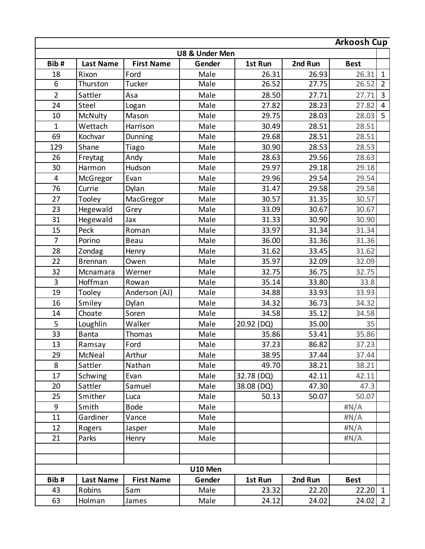|                | <b>Arkoosh Cup</b> |         |            |                |                   |                  |                |
|----------------|--------------------|---------|------------|----------------|-------------------|------------------|----------------|
|                |                    |         |            | U8 & Under Men |                   |                  |                |
|                | <b>Best</b>        | 2nd Run | 1st Run    | Gender         | <b>First Name</b> | <b>Last Name</b> | Bib#           |
| $\mathbf{1}$   | 26.31              | 26.93   | 26.31      | Male           | Ford              | Rixon            | 18             |
| $\overline{2}$ | 26.52              | 27.75   | 26.52      | Male           | Tucker            | Thurston         | 6              |
| $\overline{3}$ | 27.71              | 27.71   | 28.50      | Male           | Asa               | Sattler          | $\overline{2}$ |
| 4              | 27.82              | 28.23   | 27.82      | Male           | Logan             | Steel            | 24             |
| 5              | 28.03              | 28.03   | 29.75      | Male           | Mason             | McNulty          | 10             |
|                | 28.51              | 28.51   | 30.49      | Male           | Harrison          | Wettach          | $\mathbf{1}$   |
|                | 28.51              | 28.51   | 29.68      | Male           | Dunning           | Kochvar          | 69             |
|                | 28.53              | 28.53   | 30.90      | Male           | Tiago             | Shane            | 129            |
|                | 28.63              | 29.56   | 28.63      | Male           | Andy              | Freytag          | 26             |
|                | 29.18              | 29.18   | 29.97      | Male           | Hudson            | Harmon           | 30             |
|                | 29.54              | 29.54   | 29.96      | Male           | Evan              | McGregor         | 4              |
|                | 29.58              | 29.58   | 31.47      | Male           | Dylan             | Currie           | 76             |
|                | 30.57              | 31.35   | 30.57      | Male           | MacGregor         | Tooley           | 27             |
|                | 30.67              | 30.67   | 33.09      | Male           | Grey              | Hegewald         | 23             |
|                | 30.90              | 30.90   | 31.33      | Male           | Jax               | Hegewald         | 31             |
|                | 31.34              | 31.34   | 33.97      | Male           | Roman             | Peck             | 15             |
|                | 31.36              | 31.36   | 36.00      | Male           | Beau              | Porino           | $\overline{7}$ |
|                | 31.62              | 33.45   | 31.62      | Male           | Henry             | Zondag           | 28             |
|                | 32.09              | 32.09   | 35.97      | Male           | Owen              | <b>Brennan</b>   | 22             |
|                | 32.75              | 36.75   | 32.75      | Male           | Werner            | Mcnamara         | 32             |
|                | 33.8               | 33.80   | 35.14      | Male           | Rowan             | Hoffman          | $\overline{3}$ |
|                | 33.93              | 33.93   | 34.88      | Male           | Anderson (AJ)     | Tooley           | 19             |
|                | 34.32              | 36.73   | 34.32      | Male           | Dylan             | Smiley           | 16             |
|                | 34.58              | 35.12   | 34.58      | Male           | Soren             | Choate           | 14             |
|                | 35                 | 35.00   | 20.92 (DQ) | Male           | Walker            | Loughlin         | 5              |
|                | 35.86              | 53.41   | 35.86      | Male           | Thomas            | <b>Banta</b>     | 33             |
|                | 37.23              | 86.82   | 37.23      | Male           | Ford              | Ramsay           | 13             |
|                | 37.44              | 37.44   | 38.95      | Male           | Arthur            | McNeal           | 29             |
|                | 38.21              | 38.21   | 49.70      | Male           | Nathan            | Sattler          | 8              |
|                | 42.11              | 42.11   | 32.78 (DQ) | Male           | Evan              | Schwing          | 17             |
|                | 47.3               | 47.30   | 38.08 (DQ) | Male           | Samuel            | Sattler          | 20             |
|                | 50.07              | 50.07   | 50.13      | Male           | Luca              | Smither          | 25             |
|                | # $N/A$            |         |            | Male           | <b>Bode</b>       | Smith            | 9              |
|                | #N/A               |         |            | Male           | Vance             | Gardiner         | 11             |
|                | #N/A               |         |            | Male           | Jasper            | Rogers           | 12             |
|                | #N/A               |         |            | Male           | Henry             | Parks            | 21             |
|                |                    |         |            |                |                   |                  |                |
|                |                    |         |            |                |                   |                  |                |
|                |                    |         |            | U10 Men        |                   |                  |                |
|                | <b>Best</b>        | 2nd Run | 1st Run    | Gender         | <b>First Name</b> | <b>Last Name</b> | Bib#           |
|                | $22.20$ 1          | 22.20   | 23.32      | Male           | Sam               | Robins           | 43             |
| $2^{\circ}$    | 24.02              | 24.02   | 24.12      | Male           | James             | Holman           | 63             |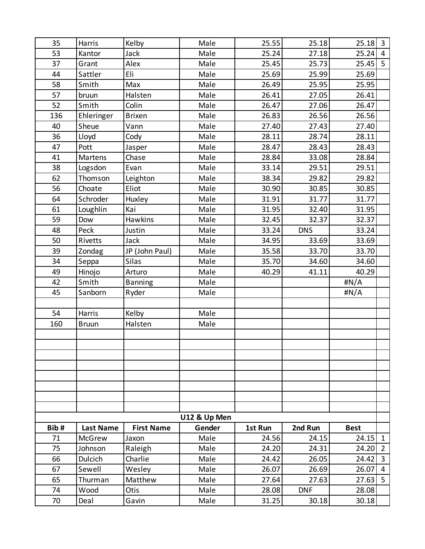| 35   | Harris           | Kelby             | Male         | 25.55   | 25.18      | 25.18       | $\overline{3}$ |
|------|------------------|-------------------|--------------|---------|------------|-------------|----------------|
| 53   | Kantor           | <b>Jack</b>       | Male         | 25.24   | 27.18      | 25.24       | $\overline{4}$ |
| 37   | Grant            | Alex              | Male         | 25.45   | 25.73      | $25.45$ 5   |                |
| 44   | Sattler          | Eli               | Male         | 25.69   | 25.99      | 25.69       |                |
| 58   | Smith            | Max               | Male         | 26.49   | 25.95      | 25.95       |                |
| 57   | bruun            | Halsten           | Male         | 26.41   | 27.05      | 26.41       |                |
| 52   | Smith            | Colin             | Male         | 26.47   | 27.06      | 26.47       |                |
| 136  | Ehleringer       | <b>Brixen</b>     | Male         | 26.83   | 26.56      | 26.56       |                |
| 40   | Sheue            | Vann              | Male         | 27.40   | 27.43      | 27.40       |                |
| 36   | Lloyd            | Cody              | Male         | 28.11   | 28.74      | 28.11       |                |
| 47   | Pott             | Jasper            | Male         | 28.47   | 28.43      | 28.43       |                |
| 41   | Martens          | Chase             | Male         | 28.84   | 33.08      | 28.84       |                |
| 38   | Logsdon          | Evan              | Male         | 33.14   | 29.51      | 29.51       |                |
| 62   | Thomson          | Leighton          | Male         | 38.34   | 29.82      | 29.82       |                |
| 56   | Choate           | Eliot             | Male         | 30.90   | 30.85      | 30.85       |                |
| 64   | Schroder         | Huxley            | Male         | 31.91   | 31.77      | 31.77       |                |
| 61   | Loughlin         | Kai               | Male         | 31.95   | 32.40      | 31.95       |                |
| 59   | Dow              | Hawkins           | Male         | 32.45   | 32.37      | 32.37       |                |
| 48   | Peck             | Justin            | Male         | 33.24   | <b>DNS</b> | 33.24       |                |
| 50   | Rivetts          | Jack              | Male         | 34.95   | 33.69      | 33.69       |                |
| 39   | Zondag           | JP (John Paul)    | Male         | 35.58   | 33.70      | 33.70       |                |
| 34   | Seppa            | <b>Silas</b>      | Male         | 35.70   | 34.60      | 34.60       |                |
| 49   | Hinojo           | Arturo            | Male         | 40.29   | 41.11      | 40.29       |                |
| 42   | Smith            | <b>Banning</b>    | Male         |         |            | #N/A        |                |
| 45   | Sanborn          | Ryder             | Male         |         |            | #N/A        |                |
|      |                  |                   |              |         |            |             |                |
| 54   | Harris           | Kelby             | Male         |         |            |             |                |
| 160  | <b>Bruun</b>     | Halsten           | Male         |         |            |             |                |
|      |                  |                   |              |         |            |             |                |
|      |                  |                   |              |         |            |             |                |
|      |                  |                   |              |         |            |             |                |
|      |                  |                   |              |         |            |             |                |
|      |                  |                   |              |         |            |             |                |
|      |                  |                   |              |         |            |             |                |
|      |                  |                   |              |         |            |             |                |
|      |                  |                   |              |         |            |             |                |
|      |                  |                   | U12 & Up Men |         |            |             |                |
| Bib# | <b>Last Name</b> | <b>First Name</b> | Gender       | 1st Run | 2nd Run    | <b>Best</b> |                |
| 71   | <b>McGrew</b>    | Jaxon             | Male         | 24.56   | 24.15      | 24.15       | $\mathbf{1}$   |
| 75   | Johnson          | Raleigh           | Male         | 24.20   | 24.31      | 24.20       | $\overline{2}$ |
| 66   | <b>Dulcich</b>   | Charlie           | Male         | 24.42   | 26.05      | 24.42       | $\overline{3}$ |
| 67   | Sewell           | Wesley            | Male         | 26.07   | 26.69      | 26.07       | $\overline{4}$ |
| 65   | Thurman          | Matthew           | Male         | 27.64   | 27.63      | 27.63       | 5              |
| 74   | Wood             | Otis              | Male         | 28.08   | <b>DNF</b> | 28.08       |                |
| 70   | Deal             | Gavin             | Male         | 31.25   | 30.18      | 30.18       |                |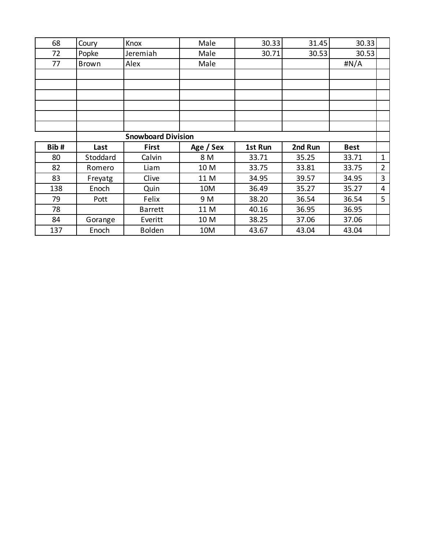| 68   | Coury                     | Knox           | Male      | 30.33   | 31.45   | 30.33       |                |
|------|---------------------------|----------------|-----------|---------|---------|-------------|----------------|
| 72   | Popke                     | Jeremiah       | Male      | 30.71   | 30.53   | 30.53       |                |
| 77   | <b>Brown</b>              | Alex           | Male      |         |         | # $N/A$     |                |
|      |                           |                |           |         |         |             |                |
|      |                           |                |           |         |         |             |                |
|      |                           |                |           |         |         |             |                |
|      |                           |                |           |         |         |             |                |
|      |                           |                |           |         |         |             |                |
|      |                           |                |           |         |         |             |                |
|      | <b>Snowboard Division</b> |                |           |         |         |             |                |
| Bib# | Last                      | <b>First</b>   | Age / Sex | 1st Run | 2nd Run | <b>Best</b> |                |
| 80   | Stoddard                  | Calvin         | 8 M       | 33.71   | 35.25   | 33.71       | $\mathbf{1}$   |
| 82   | Romero                    | Liam           | 10 M      | 33.75   | 33.81   | 33.75       | $\overline{2}$ |
| 83   | Freyatg                   | Clive          | 11 M      | 34.95   | 39.57   | 34.95       | 3              |
| 138  | Enoch                     | Quin           | 10M       | 36.49   | 35.27   | 35.27       | $\overline{4}$ |
| 79   | Pott                      | Felix          | 9 M       | 38.20   | 36.54   | 36.54       | 5              |
| 78   |                           | <b>Barrett</b> | 11 M      | 40.16   | 36.95   | 36.95       |                |
| 84   | Gorange                   | Everitt        | 10 M      | 38.25   | 37.06   | 37.06       |                |
| 137  | Enoch                     | <b>Bolden</b>  | 10M       | 43.67   | 43.04   | 43.04       |                |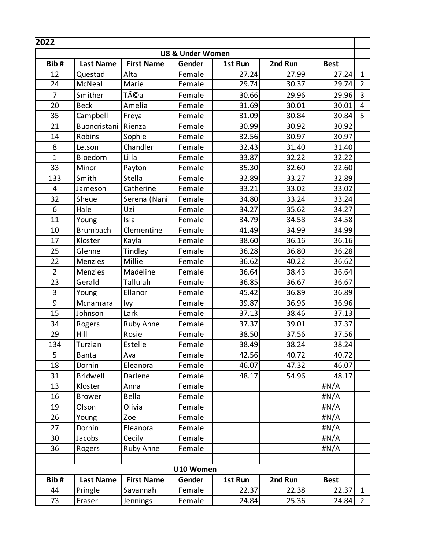| 2022           |                  |                   |                             |         |         |              |                |
|----------------|------------------|-------------------|-----------------------------|---------|---------|--------------|----------------|
|                |                  |                   | <b>U8 &amp; Under Women</b> |         |         |              |                |
| Bib#           | <b>Last Name</b> | <b>First Name</b> | Gender                      | 1st Run | 2nd Run | <b>Best</b>  |                |
| 12             | Questad          | Alta              | Female                      | 27.24   | 27.99   | 27.24        | $\mathbf{1}$   |
| 24             | McNeal           | Marie             | Female                      | 29.74   | 30.37   | 29.74        | $\overline{2}$ |
| $\overline{7}$ | Smither          | Téa               | Female                      | 30.66   | 29.96   | 29.96        | $\overline{3}$ |
| 20             | <b>Beck</b>      | Amelia            | Female                      | 31.69   | 30.01   | 30.01        | $\overline{4}$ |
| 35             | Campbell         | Freya             | Female                      | 31.09   | 30.84   | 30.84        | 5              |
| 21             | Buoncristani     | Rienza            | Female                      | 30.99   | 30.92   | 30.92        |                |
| 14             | Robins           | Sophie            | Female                      | 32.56   | 30.97   | 30.97        |                |
| 8              | Letson           | Chandler          | Female                      | 32.43   | 31.40   | 31.40        |                |
| $\mathbf{1}$   | Bloedorn         | Lilla             | Female                      | 33.87   | 32.22   | 32.22        |                |
| 33             | Minor            | Payton            | Female                      | 35.30   | 32.60   | 32.60        |                |
| 133            | Smith            | Stella            | Female                      | 32.89   | 33.27   | 32.89        |                |
| $\overline{4}$ | Jameson          | Catherine         | Female                      | 33.21   | 33.02   | 33.02        |                |
| 32             | Sheue            | Serena (Nani)     | Female                      | 34.80   | 33.24   | 33.24        |                |
| 6              | Hale             | Uzi               | Female                      | 34.27   | 35.62   | 34.27        |                |
| 11             | Young            | Isla              | Female                      | 34.79   | 34.58   | 34.58        |                |
| 10             | <b>Brumbach</b>  | Clementine        | Female                      | 41.49   | 34.99   | 34.99        |                |
| 17             | Kloster          | Kayla             | Female                      | 38.60   | 36.16   | 36.16        |                |
| 25             | Glenne           | Tindley           | Female                      | 36.28   | 36.80   | 36.28        |                |
| 22             | <b>Menzies</b>   | Millie            | Female                      | 36.62   | 40.22   | 36.62        |                |
| $\overline{2}$ | Menzies          | Madeline          | Female                      | 36.64   | 38.43   | 36.64        |                |
| 23             | Gerald           | Tallulah          | Female                      | 36.85   | 36.67   | 36.67        |                |
| $\overline{3}$ | Young            | Ellanor           | Female                      | 45.42   | 36.89   | 36.89        |                |
| 9              | Mcnamara         | Ivy               | Female                      | 39.87   | 36.96   | 36.96        |                |
| 15             | Johnson          | Lark              | Female                      | 37.13   | 38.46   | 37.13        |                |
| 34             | Rogers           | Ruby Anne         | Female                      | 37.37   | 39.01   | 37.37        |                |
| 29             | Hill             | Rosie             | Female                      | 38.50   | 37.56   | 37.56        |                |
| 134            | Turzian          | Estelle           | Female                      | 38.49   | 38.24   | 38.24        |                |
| 5              | Banta            | Ava               | Female                      | 42.56   | 40.72   | 40.72        |                |
| 18             | Dornin           | Eleanora          | Female                      | 46.07   | 47.32   | 46.07        |                |
| 31             | <b>Bridwell</b>  | Darlene           | Female                      | 48.17   | 54.96   | 48.17        |                |
| 13             | Kloster          | Anna              | Female                      |         |         | #N/A         |                |
| 16             | <b>Brower</b>    | Bella             | Female                      |         |         | #N/A         |                |
| 19             | Olson            | Olivia            | Female                      |         |         | #N/A         |                |
| 26             | Young            | Zoe               | Female                      |         |         | #N/A         |                |
| 27             | Dornin           | Eleanora          | Female                      |         |         | $\sharp N/A$ |                |
| 30             | Jacobs           | Cecily            | Female                      |         |         | #N/A         |                |
| 36             | Rogers           | Ruby Anne         | Female                      |         |         | # $N/A$      |                |
|                |                  |                   |                             |         |         |              |                |
|                |                  |                   | U10 Women                   |         |         |              |                |
| Bib#           | <b>Last Name</b> | <b>First Name</b> | Gender                      | 1st Run | 2nd Run | <b>Best</b>  |                |
| 44             | Pringle          | Savannah          | Female                      | 22.37   | 22.38   | 22.37        | $\mathbf{1}$   |
| 73             | Fraser           | Jennings          | Female                      | 24.84   | 25.36   | 24.84        | 2              |
|                |                  |                   |                             |         |         |              |                |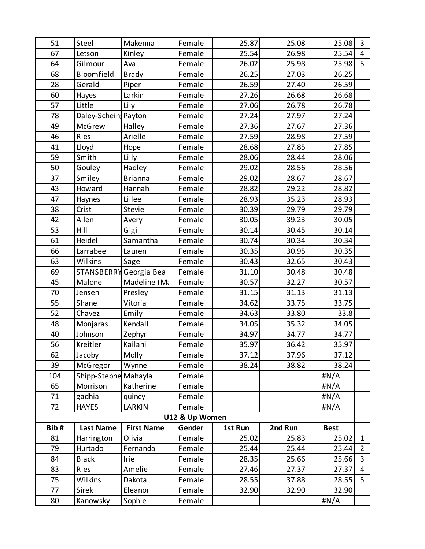| 51   | Steel                | Makenna                | Female         | 25.87   | 25.08   | 25.08       | $\overline{3}$ |
|------|----------------------|------------------------|----------------|---------|---------|-------------|----------------|
| 67   | Letson               | Kinley                 | Female         | 25.54   | 26.98   | 25.54       | $\overline{4}$ |
| 64   | Gilmour              | Ava                    | Female         | 26.02   | 25.98   | 25.98       | 5              |
| 68   | Bloomfield           | <b>Brady</b>           | Female         | 26.25   | 27.03   | 26.25       |                |
| 28   | Gerald               | Piper                  | Female         | 26.59   | 27.40   | 26.59       |                |
| 60   | Hayes                | Larkin                 | Female         | 27.26   | 26.68   | 26.68       |                |
| 57   | Little               | Lily                   | Female         | 27.06   | 26.78   | 26.78       |                |
| 78   | Daley-Scheing Payton |                        | Female         | 27.24   | 27.97   | 27.24       |                |
| 49   | McGrew               | Halley                 | Female         | 27.36   | 27.67   | 27.36       |                |
| 46   | Ries                 | Arielle                | Female         | 27.59   | 28.98   | 27.59       |                |
| 41   | Lloyd                | Hope                   | Female         | 28.68   | 27.85   | 27.85       |                |
| 59   | Smith                | Lilly                  | Female         | 28.06   | 28.44   | 28.06       |                |
| 50   | Gouley               | Hadley                 | Female         | 29.02   | 28.56   | 28.56       |                |
| 37   | Smiley               | <b>Brianna</b>         | Female         | 29.02   | 28.67   | 28.67       |                |
| 43   | Howard               | Hannah                 | Female         | 28.82   | 29.22   | 28.82       |                |
| 47   | Haynes               | Lillee                 | Female         | 28.93   | 35.23   | 28.93       |                |
| 38   | Crist                | Stevie                 | Female         | 30.39   | 29.79   | 29.79       |                |
| 42   | Allen                | Avery                  | Female         | 30.05   | 39.23   | 30.05       |                |
| 53   | Hill                 | Gigi                   | Female         | 30.14   | 30.45   | 30.14       |                |
| 61   | Heidel               | Samantha               | Female         | 30.74   | 30.34   | 30.34       |                |
| 66   | Larrabee             | Lauren                 | Female         | 30.35   | 30.95   | 30.35       |                |
| 63   | Wilkins              | Sage                   | Female         | 30.43   | 32.65   | 30.43       |                |
| 69   |                      | STANSBERRY Georgia Bea | Female         | 31.10   | 30.48   | 30.48       |                |
| 45   | Malone               | Madeline (Ma           | Female         | 30.57   | 32.27   | 30.57       |                |
| 70   | Jensen               | Presley                | Female         | 31.15   | 31.13   | 31.13       |                |
| 55   | Shane                | Vitoria                | Female         | 34.62   | 33.75   | 33.75       |                |
| 52   | Chavez               | Emily                  | Female         | 34.63   | 33.80   | 33.8        |                |
| 48   | Monjaras             | Kendall                | Female         | 34.05   | 35.32   | 34.05       |                |
| 40   | Johnson              | Zephyr                 | Female         | 34.97   | 34.77   | 34.77       |                |
| 56   | Kreitler             | Kailani                | Female         | 35.97   | 36.42   | 35.97       |                |
| 62   | Jacoby               | Molly                  | Female         | 37.12   | 37.96   | 37.12       |                |
| 39   | McGregor             | Wynne                  | Female         | 38.24   | 38.82   | 38.24       |                |
| 104  | Shipp-Stephe Mahayla |                        | Female         |         |         | #N/A        |                |
| 65   | Morrison             | Katherine              | Female         |         |         | #N/A        |                |
| 71   | gadhia               | quincy                 | Female         |         |         | #N/A        |                |
| 72   | <b>HAYES</b>         | LARKIN                 | Female         |         |         | # $N/A$     |                |
|      |                      |                        | U12 & Up Women |         |         |             |                |
| Bib# | <b>Last Name</b>     | <b>First Name</b>      | Gender         | 1st Run | 2nd Run | <b>Best</b> |                |
| 81   | Harrington           | Olivia                 | Female         | 25.02   | 25.83   | 25.02       | $\mathbf{1}$   |
| 79   | Hurtado              | Fernanda               | Female         | 25.44   | 25.44   | 25.44       | $\overline{2}$ |
| 84   | <b>Black</b>         | Irie                   | Female         | 28.35   | 25.66   | 25.66       | 3              |
| 83   | Ries                 | Amelie                 | Female         | 27.46   | 27.37   | 27.37       | $\overline{4}$ |
| 75   | Wilkins              | Dakota                 | Female         | 28.55   | 37.88   | 28.55       | 5              |
| 77   | <b>Sirek</b>         | Eleanor                | Female         | 32.90   | 32.90   | 32.90       |                |
| 80   | Kanowsky             | Sophie                 | Female         |         |         | #N/A        |                |